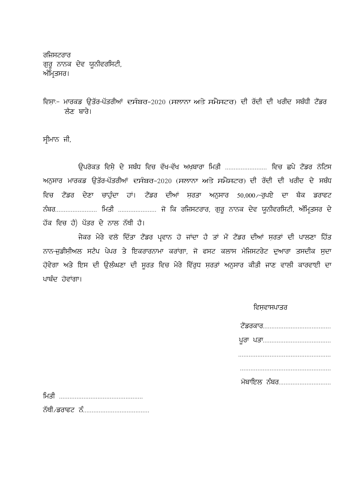ਰਜਿਸਟਰਾਰ ਗੁਰੂ ਨਾਨਕ ਦੇਵ ਯੂਨੀਵਰਸਿਟੀ, ਅੰਮ੍ਰਿਤਸਰ।

ਵਿਸਾ:- ਮਾਰਕਡ ਉਤੱਰ-ਪੱਤਰੀਆਂ ਦਸੰਬਰ-2020 (ਸਲਾਨਾ ਅਤੇ ਸਮੈਸਟਰ) ਦੀ ਰੱਦੀ ਦੀ ਖਰੀਦ ਸਬੰਧੀ ਟੈਂਡਰ ਲੈਣ ਬਾਰੇ।

ਸੀਮਾਨ ਜੀ,

ਉਪਰੋਕਤ ਵਿਸੇ ਦੇ ਸਬੰਧ ਵਿਚ ਵੱਖ–ਵੱਖ ਅਖਬਾਰਾ ਮਿਤੀ ........................ ਵਿਚ ਛਪੇ ਟੈਂਡਰ ਨੋਟਿਸ ਅਨੁਸਾਰ ਮਾਰਕਡ ਉਤੱਰ-ਪੱਤਰੀਆਂ ਦਸੰਬਰ-2020 (ਸਲਾਨਾ ਅਤੇ ਸਮੈਸਟਰ) ਦੀ ਰੱਦੀ ਦੀ ਖਰੀਦ ਦੇ ਸਬੰਧ ਵਿਚ ਟੈਂਡਰ ਦੇਣਾ ਚਾਹੁੰਦਾ ਹਾਂ। ਟੈਂਡਰ ਦੀਆਂ ਸਰਤਾ ਅਨੁਸਾਰ 50,000 -ਰੁਪਏ ਦਾ ਬੈਕ ਡਰਾਫਟ ਨੰਬਰ........................ ਮਿਤੀ ..................... ਜੋ ਕਿ ਰਜਿਸਟਰਾਰ, ਗੁਰੂ ਨਾਨਕ ਦੇਵ ਯੂਨੀਵਰਸਿਟੀ, ਅੰਮ੍ਰਿਤਸਰ ਦੇ ਹੱਕ ਵਿਚ ਹੈ) ਪੱਤਰ ਦੇ ਨਾਲ ਨੱਥੀ ਹੈ।

ਜੇਕਰ ਮੇਰੇ ਵਲੋਂ ਦਿੱਤਾ ਟੈਂਡਰ ਪ੍ਰਵਾਨ ਹੋ ਜਾਂਦਾ ਹੈ ਤਾਂ ਮੈਂ ਟੈਂਡਰ ਦੀਆਂ ਸਰਤਾਂ ਦੀ ਪਾਲਣਾ ਹਿੱਤ ਨਾਨ-ਜਡੀਸੀਅਲ ਸਟੈਪ ਪੇਪਰ ਤੇ ਇਕਰਾਰਨਾਮਾ ਕਰਾਂਗਾ, ਜੋ ਫਸਟ ਕਲਾਸ ਮੈਜਿਸਟਰੇਟ ਦਆਰਾ ਤਸਦੀਕ ਸਦਾ ਹੋਵੇਗਾ ਅਤੇ ਇਸ ਦੀ ਉਲੰਘਣਾ ਦੀ ਸੁਰਤ ਵਿਚ ਮੇਰੇ ਵਿੱਰੁਧ ਸ਼ਰਤਾਂ ਅਨੁਸਾਰ ਕੀਤੀ ਜਾਣ ਵਾਲੀ ਕਾਰਵਾਈ ਦਾ ਪਾਬੰਦ ਹੋਵਾਂਗਾ।

## ਵਿਸਵਾਸਪਾਤਰ

| ਮੋਬਾਇਲ ਨੰਬਰ |  |
|-------------|--|

| ਮਿਤੀ |                           |  |  |  |  |
|------|---------------------------|--|--|--|--|
|      | ਨੱਥੀ ∕ਡਰਾਫਟ ਨੰ…………………………… |  |  |  |  |